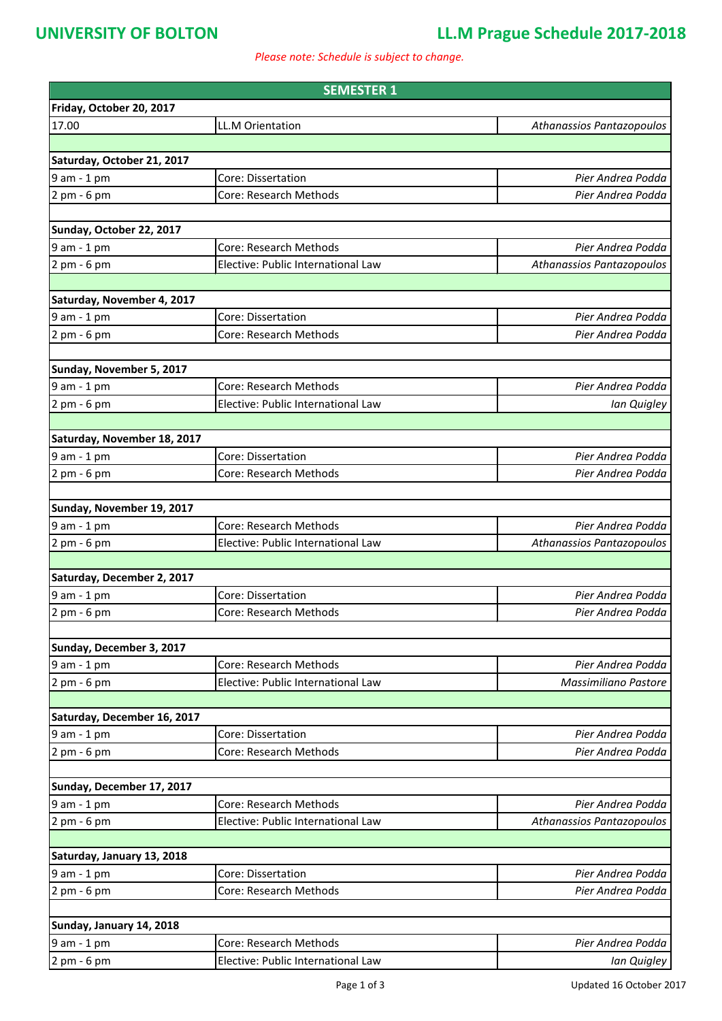### **UNIVERSITY OF BOLTON LL.M Prague Schedule 2017-2018**

*Please note: Schedule is subject to change.*

| <b>SEMESTER 1</b>            |                                                                     |                           |  |
|------------------------------|---------------------------------------------------------------------|---------------------------|--|
| Friday, October 20, 2017     |                                                                     |                           |  |
| 17.00                        | <b>LL.M Orientation</b>                                             | Athanassios Pantazopoulos |  |
|                              |                                                                     |                           |  |
| Saturday, October 21, 2017   |                                                                     |                           |  |
| 9 am - 1 pm                  | Core: Dissertation                                                  | Pier Andrea Podda         |  |
| 2 pm - 6 pm                  | Core: Research Methods                                              | Pier Andrea Podda         |  |
|                              |                                                                     |                           |  |
| Sunday, October 22, 2017     |                                                                     |                           |  |
| 9 am - 1 pm                  | Core: Research Methods                                              | Pier Andrea Podda         |  |
| 2 pm - 6 pm                  | Elective: Public International Law                                  | Athanassios Pantazopoulos |  |
|                              |                                                                     |                           |  |
| Saturday, November 4, 2017   |                                                                     |                           |  |
| 9 am - 1 pm                  | Core: Dissertation                                                  | Pier Andrea Podda         |  |
| 2 pm - 6 pm                  | Core: Research Methods                                              | Pier Andrea Podda         |  |
|                              |                                                                     |                           |  |
| Sunday, November 5, 2017     |                                                                     |                           |  |
| 9 am - 1 pm                  | <b>Core: Research Methods</b><br>Elective: Public International Law | Pier Andrea Podda         |  |
| 2 pm - 6 pm                  |                                                                     | Ian Quigley               |  |
| Saturday, November 18, 2017  |                                                                     |                           |  |
| 9 am - 1 pm                  | Core: Dissertation                                                  | Pier Andrea Podda         |  |
| 2 pm - 6 pm                  | Core: Research Methods                                              | Pier Andrea Podda         |  |
|                              |                                                                     |                           |  |
| Sunday, November 19, 2017    |                                                                     |                           |  |
| 9 am - 1 pm                  | <b>Core: Research Methods</b>                                       | Pier Andrea Podda         |  |
| 2 pm - 6 pm                  | Elective: Public International Law                                  | Athanassios Pantazopoulos |  |
|                              |                                                                     |                           |  |
| Saturday, December 2, 2017   |                                                                     |                           |  |
| $9$ am $-1$ pm               | Core: Dissertation                                                  | Pier Andrea Podda         |  |
| 2 pm - 6 pm                  | Core: Research Methods                                              | Pier Andrea Podda         |  |
|                              |                                                                     |                           |  |
| Sunday, December 3, 2017     |                                                                     |                           |  |
| 9 am - 1 pm                  | Core: Research Methods                                              | Pier Andrea Podda         |  |
| 2 pm - 6 pm                  | Elective: Public International Law                                  | Massimiliano Pastore      |  |
|                              |                                                                     |                           |  |
| Saturday, December 16, 2017  |                                                                     |                           |  |
| 9 am - 1 pm                  | Core: Dissertation                                                  | Pier Andrea Podda         |  |
| $2pm - 6pm$                  | Core: Research Methods                                              | Pier Andrea Podda         |  |
|                              |                                                                     |                           |  |
| Sunday, December 17, 2017    | <b>Core: Research Methods</b>                                       | Pier Andrea Podda         |  |
| 9 am - 1 pm<br>$2$ pm - 6 pm | Elective: Public International Law                                  | Athanassios Pantazopoulos |  |
|                              |                                                                     |                           |  |
| Saturday, January 13, 2018   |                                                                     |                           |  |
| 9 am - 1 pm                  | Core: Dissertation                                                  | Pier Andrea Podda         |  |
| 2 pm - 6 pm                  | Core: Research Methods                                              | Pier Andrea Podda         |  |
|                              |                                                                     |                           |  |
| Sunday, January 14, 2018     |                                                                     |                           |  |
| 9 am - 1 pm                  | Core: Research Methods                                              | Pier Andrea Podda         |  |
| 2 pm - 6 pm                  | Elective: Public International Law                                  | Ian Quigley               |  |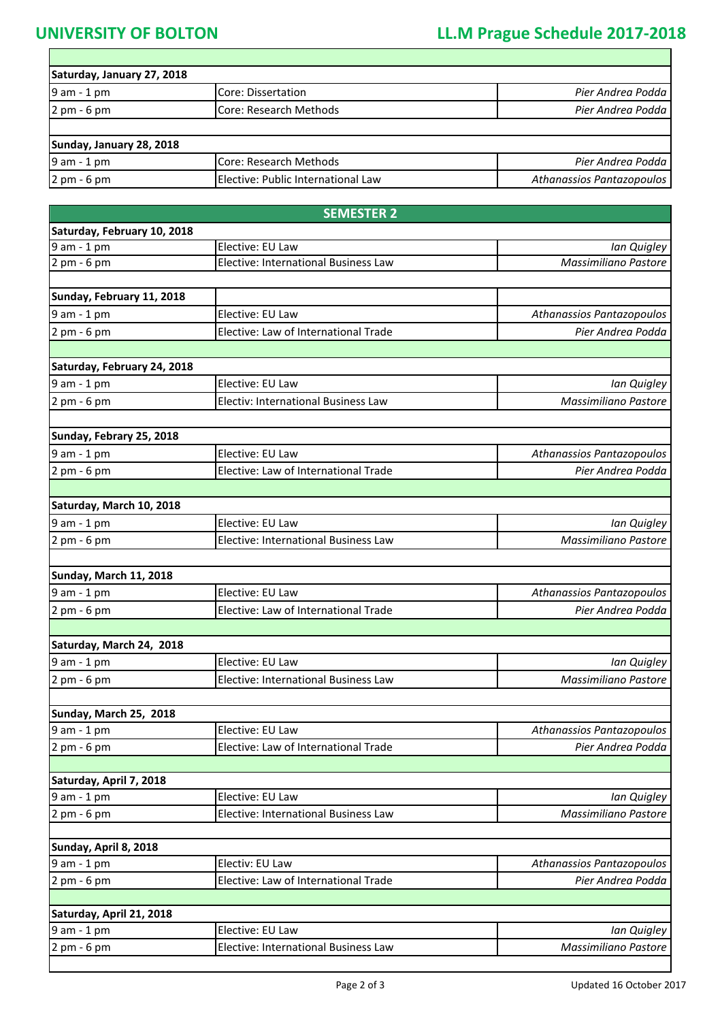## **UNIVERSITY OF BOLTON LL.M Prague Schedule 2017-2018**

| Saturday, January 27, 2018    |                                    |                           |
|-------------------------------|------------------------------------|---------------------------|
| $9$ am - 1 pm                 | Core: Dissertation                 | Pier Andrea Podda         |
| $2 \text{ pm} - 6 \text{ pm}$ | Core: Research Methods             | Pier Andrea Podda         |
| Sunday, January 28, 2018      |                                    |                           |
| $9$ am - 1 pm                 | Core: Research Methods             | Pier Andrea Podda         |
| $2$ pm - 6 pm                 | Elective: Public International Law | Athanassios Pantazopoulos |

| Saturday, February 10, 2018                           |                           |
|-------------------------------------------------------|---------------------------|
|                                                       |                           |
| 9 am - 1 pm<br>Elective: EU Law                       | Ian Quigley               |
| 2 pm - 6 pm<br>Elective: International Business Law   | Massimiliano Pastore      |
|                                                       |                           |
| Sunday, February 11, 2018                             |                           |
| 9 am - 1 pm<br>Elective: EU Law                       | Athanassios Pantazopoulos |
| Elective: Law of International Trade<br>2 pm - 6 pm   | Pier Andrea Podda         |
|                                                       |                           |
| Saturday, February 24, 2018                           |                           |
| 9 am - 1 pm<br>Elective: EU Law                       | Ian Quigley               |
| 2 pm - 6 pm<br>Electiv: International Business Law    | Massimiliano Pastore      |
|                                                       |                           |
| Sunday, Febrary 25, 2018                              |                           |
| Elective: EU Law<br>9 am - 1 pm                       | Athanassios Pantazopoulos |
| Elective: Law of International Trade<br>$2 pm - 6 pm$ | Pier Andrea Podda         |
|                                                       |                           |
| Saturday, March 10, 2018                              |                           |
| Elective: EU Law<br>9 am - 1 pm                       | Ian Quigley               |
| Elective: International Business Law<br>2 pm - 6 pm   | Massimiliano Pastore      |
|                                                       |                           |
| <b>Sunday, March 11, 2018</b>                         |                           |
| Elective: EU Law<br>9 am - 1 pm                       | Athanassios Pantazopoulos |
| Elective: Law of International Trade<br>2 pm - 6 pm   | Pier Andrea Podda         |
|                                                       |                           |
| Saturday, March 24, 2018                              |                           |
| 9 am - 1 pm<br>Elective: EU Law                       | Ian Quigley               |
| Elective: International Business Law<br>$2$ pm - 6 pm | Massimiliano Pastore      |
|                                                       |                           |
| Sunday, March 25, 2018                                |                           |
| Elective: EU Law<br>9 am - 1 pm                       | Athanassios Pantazopoulos |
| 2 pm - 6 pm<br>Elective: Law of International Trade   | Pier Andrea Podda         |
|                                                       |                           |
| Saturday, April 7, 2018                               |                           |
| Elective: EU Law<br>9 am - 1 pm                       | Ian Quigley               |
| Elective: International Business Law<br>2 pm - 6 pm   | Massimiliano Pastore      |
|                                                       |                           |
| Sunday, April 8, 2018                                 |                           |
| Electiv: EU Law<br>9 am - 1 pm                        | Athanassios Pantazopoulos |
| Elective: Law of International Trade<br>2 pm - 6 pm   | Pier Andrea Podda         |
|                                                       |                           |
| Saturday, April 21, 2018                              |                           |
| Elective: EU Law<br>9 am - 1 pm                       | Ian Quigley               |
| Elective: International Business Law<br>2 pm - 6 pm   | Massimiliano Pastore      |